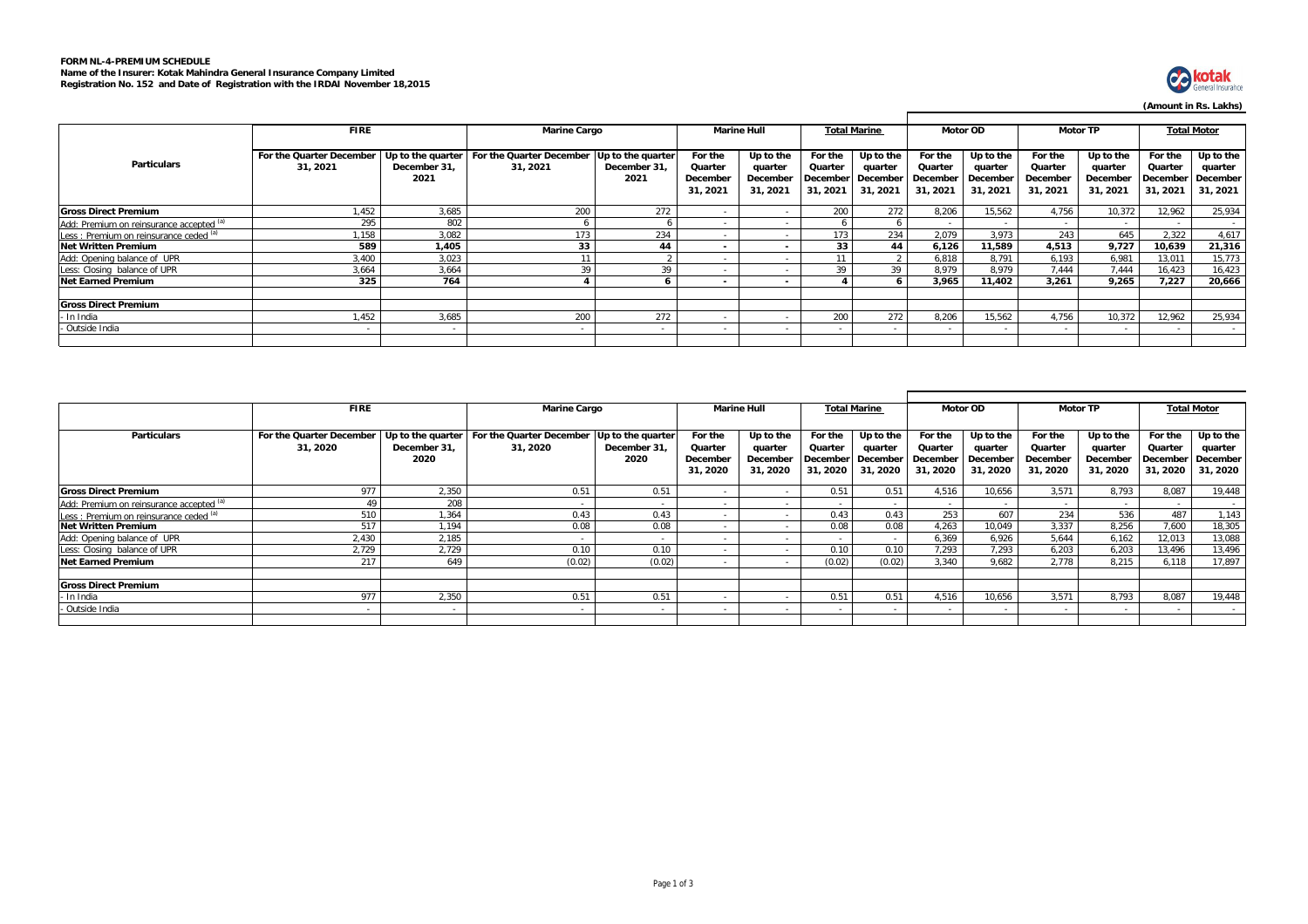# **FORM NL-4-PREMIUM SCHEDULE Name of the Insurer: Kotak Mahindra General Insurance Company Limited Registration No. 152 and Date of Registration with the IRDAI November 18,2015**



## **(Amount in Rs. Lakhs)**

|                                          | <b>FIRE</b>                          |                      | <b>Marine Cargo</b>                                     |                                           | <b>Marine Hull</b>                         |                                             | <b>Total Marine</b>                                |                                  | <b>Motor OD</b>                            |                                              | <b>Motor TP</b>                            |                                              | <b>Total Motor</b>             |                                                         |
|------------------------------------------|--------------------------------------|----------------------|---------------------------------------------------------|-------------------------------------------|--------------------------------------------|---------------------------------------------|----------------------------------------------------|----------------------------------|--------------------------------------------|----------------------------------------------|--------------------------------------------|----------------------------------------------|--------------------------------|---------------------------------------------------------|
| <b>Particulars</b>                       | For the Quarter December<br>31, 2021 | December 31.<br>2021 | Up to the quarter   For the Quarter December<br>31.2021 | Up to the quarter<br>December 31.<br>2021 | For the<br>Quarter<br>December<br>31, 2021 | Up to the<br>quarter<br>December<br>31.2021 | For the<br>Quarter<br>December December<br>31.2021 | Up to the<br>quarter<br>31, 2021 | For the<br>Quarter<br>December<br>31, 2021 | Up to the<br>quarter<br>December<br>31, 2021 | For the<br>Quarter<br>December<br>31, 2021 | Up to the<br>quarter<br>December<br>31, 2021 | For the<br>Quarter<br>31, 2021 | Up to the<br>quarter<br>December   December<br>31, 2021 |
| <b>Gross Direct Premium</b>              | .452                                 | 3.685                | 200                                                     | 272                                       |                                            |                                             | 200                                                | 272                              | 8.206                                      | 15,562                                       | 4.756                                      | 10,372                                       | 12,962                         | 25,934                                                  |
| Add: Premium on reinsurance accepted (a) | 295                                  | 802                  |                                                         | 6                                         | $\sim$                                     |                                             | 6                                                  |                                  |                                            |                                              | $\sim$                                     |                                              | $\sim$                         | $\sim$                                                  |
| Less: Premium on reinsurance ceded (a)   | .158                                 | 3.082                | 173                                                     | 234                                       |                                            |                                             | 173                                                | 234                              | 2.079                                      | 3.973                                        | 243                                        | 645                                          | 2,322                          | 4,617                                                   |
| <b>Net Written Premium</b>               | 589                                  | 1,405                | 33                                                      | 44                                        | $\overline{\phantom{a}}$                   | $\sim$                                      | 33                                                 | 44                               | 6,126                                      | 11,589                                       | 4,513                                      | 9,727                                        | 10,639                         | 21,316                                                  |
| Add: Opening balance of UPR              | 3.400                                | 3.023                |                                                         |                                           |                                            |                                             | 11                                                 |                                  | 6.818                                      | 8.791                                        | 6.193                                      | 6.981                                        | 13.011                         | 15,773                                                  |
| Less: Closing balance of UPR             | 3.664                                | 3.664                | 39                                                      | 39                                        | $\sim$                                     |                                             | 39                                                 | 39                               | 8.979                                      | 8.979                                        | 7.444                                      | 7.444                                        | 16,423                         | 16,423                                                  |
| <b>Net Earned Premium</b>                | 325                                  | 764                  |                                                         | 6                                         | $\overline{\phantom{a}}$                   | $\overline{\phantom{a}}$                    |                                                    |                                  | 3,965                                      | 11,402                                       | 3.261                                      | 9.265                                        | 7.227                          | 20.666                                                  |
| <b>Gross Direct Premium</b>              |                                      |                      |                                                         |                                           |                                            |                                             |                                                    |                                  |                                            |                                              |                                            |                                              |                                |                                                         |
| - In India                               | .452                                 | 3.685                | 200                                                     | 272                                       |                                            |                                             | 200                                                | 272                              | 8.206                                      | 15.562                                       | 4.756                                      | 10,372                                       | 12.962                         | 25.934                                                  |
| - Outside India                          |                                      |                      |                                                         | $\sim$                                    |                                            |                                             |                                                    |                                  |                                            |                                              |                                            |                                              |                                | $\sim$                                                  |
|                                          |                                      |                      |                                                         |                                           |                                            |                                             |                                                    |                                  |                                            |                                              |                                            |                                              |                                |                                                         |

|                                          | <b>FIRE</b>                          |                      | <b>Marine Cargo</b>                                    |                                           | <b>Marine Hull</b>                         |                                             | <b>Total Marine</b>                                 |                                  | <b>Motor OD</b>                            |                                              | <b>Motor TP</b>                           |                                             | <b>Total Motor</b>                         |                                              |
|------------------------------------------|--------------------------------------|----------------------|--------------------------------------------------------|-------------------------------------------|--------------------------------------------|---------------------------------------------|-----------------------------------------------------|----------------------------------|--------------------------------------------|----------------------------------------------|-------------------------------------------|---------------------------------------------|--------------------------------------------|----------------------------------------------|
| <b>Particulars</b>                       | For the Quarter December<br>31, 2020 | December 31.<br>2020 | Up to the quarter For the Quarter December<br>31, 2020 | Up to the quarter<br>December 31,<br>2020 | For the<br>Quarter<br>December<br>31, 2020 | Up to the<br>quarter<br>December<br>31.2020 | For the<br>Quarter<br>December December<br>31, 2020 | Up to the<br>quarter<br>31, 2020 | For the<br>Quarter<br>December<br>31, 2020 | Up to the<br>quarter<br>December<br>31, 2020 | For the<br>Quarter<br>December<br>31.2020 | Up to the<br>quarter<br>December<br>31.2020 | For the<br>Quarter<br>December<br>31, 2020 | Up to the<br>quarter<br>December<br>31, 2020 |
| <b>Gross Direct Premium</b>              | 977                                  | 2,350                | 0.51                                                   | 0.51                                      |                                            |                                             | 0.51                                                | 0.51                             | 4.516                                      | 10,656                                       | 3.571                                     | 8.793                                       | 8.087                                      | 19,448                                       |
| Add: Premium on reinsurance accepted (a) |                                      | 208                  |                                                        |                                           | $\sim$                                     |                                             | $\sim$                                              |                                  | $\sim$                                     | $\sim$                                       |                                           |                                             | $\sim$                                     | $\sim$                                       |
| Less: Premium on reinsurance ceded (a)   | 510                                  | 1,364                | 0.43                                                   | 0.43                                      | . .                                        |                                             | 0.43                                                | 0.43                             | 253                                        | 607                                          | 234                                       | 536                                         | 487                                        | 1,143                                        |
| <b>Net Written Premium</b>               | 517                                  | 1,194                | 0.08                                                   | 0.08                                      |                                            |                                             | 0.08                                                | 0.08                             | 4,263                                      | 10,049                                       | 3.337                                     | 8.256                                       | 7,600                                      | 18,305                                       |
| Add: Opening balance of UPR              | 2,430                                | 2.185                |                                                        |                                           |                                            |                                             |                                                     |                                  | 6.369                                      | 6,926                                        | 5.644                                     | 6.162                                       | 12.013                                     | 13,088                                       |
| Less: Closing balance of UPR             | 2,729                                | 2.729                | 0.10                                                   | 0.10                                      | $\sim$                                     |                                             | 0.10                                                | 0.10                             | 7,293                                      | 7,293                                        | 6,203                                     | 6.203                                       | 13,496                                     | 13,496                                       |
| <b>Net Earned Premium</b>                | 217                                  | 649                  | (0.02)                                                 | (0.02)                                    |                                            |                                             | (0.02)                                              | (0.02)                           | 3,340                                      | 9,682                                        | 2.778                                     | 8.215                                       | 6.118                                      | 17,897                                       |
| <b>Gross Direct Premium</b>              |                                      |                      |                                                        |                                           |                                            |                                             |                                                     |                                  |                                            |                                              |                                           |                                             |                                            |                                              |
| In India                                 | 977                                  | 2,350                | 0.51                                                   | 0.51                                      |                                            |                                             | 0.51                                                | 0.51                             | 4.516                                      | 10,656                                       | 3.571                                     | 8.793                                       | 8.087                                      | 19,448                                       |
| - Outside India                          |                                      |                      |                                                        |                                           |                                            |                                             | $\sim$                                              |                                  | $\sim$                                     | $\sim$                                       |                                           | $\sim$                                      | $\sim$                                     | $\sim$                                       |
|                                          |                                      |                      |                                                        |                                           |                                            |                                             |                                                     |                                  |                                            |                                              |                                           |                                             |                                            |                                              |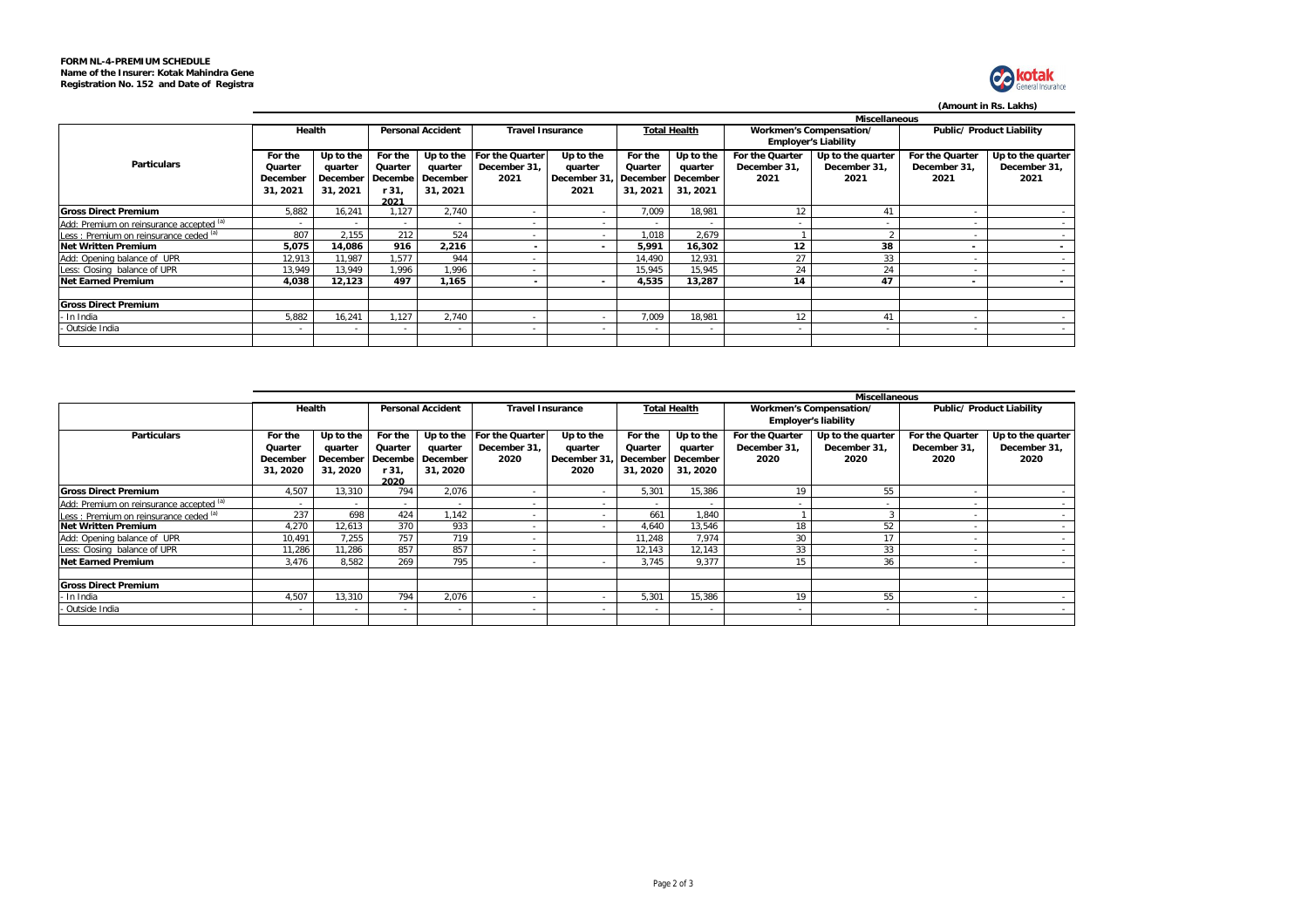

# **(Amount in Rs. Lakhs)**

|                                          |                      |          |         |                          |                         |                                |                |                     |                             | Miscellaneous     |                          |                           |
|------------------------------------------|----------------------|----------|---------|--------------------------|-------------------------|--------------------------------|----------------|---------------------|-----------------------------|-------------------|--------------------------|---------------------------|
|                                          | Health               |          |         | <b>Personal Accident</b> | <b>Travel Insurance</b> |                                |                | <b>Total Health</b> | Workmen's Compensation/     |                   |                          | Public/ Product Liability |
|                                          |                      |          |         |                          |                         |                                |                |                     | <b>Employer's Liability</b> |                   |                          |                           |
|                                          | For the<br>Up to the |          | For the | Up to the                | For the Quarter         | Up to the                      | For the        | Up to the           | For the Quarter             | Up to the quarter | For the Quarter          | Up to the quarter         |
| <b>Particulars</b>                       | Quarter              | quarter  | Quarter | quarter                  | December 31,            | quarter                        | Quarter        | quarter             | December 31,                | December 31.      | December 31.             | December 31,              |
|                                          | December             | December | Decembe | December                 | 2021                    | December 31. December December |                |                     | 2021                        | 2021              | 2021                     | 2021                      |
|                                          | 31, 2021             | 31, 2021 | r 31,   | 31, 2021                 |                         | 2021                           | 31, 2021       | 31, 2021            |                             |                   |                          |                           |
|                                          |                      |          | 2021    |                          |                         |                                |                |                     |                             |                   |                          |                           |
| <b>Gross Direct Premium</b>              | 5,882                | 16.241   | .127    | 2.740                    | ٠                       | $\sim$                         | 7,009          | 18,981              | 12                          |                   |                          | $\sim$                    |
| Add: Premium on reinsurance accepted (a) |                      |          |         |                          |                         | $\overline{a}$                 |                |                     |                             |                   |                          |                           |
| Less: Premium on reinsurance ceded (a)   | 807                  | 2,155    | 212     | 524                      |                         | $\sim$                         | 1,018          | 2,679               |                             |                   |                          | . .                       |
| <b>Net Written Premium</b>               | 5,075                | 14,086   | 916     | 2,216                    |                         | $\sim$                         | 5,991          | 16,302              | 12                          | 38                | $\overline{\phantom{a}}$ | $\sim$                    |
| Add: Opening balance of UPR              | 12,913               | 11.987   | .577    | 944                      | ۰                       |                                | 14.490         | 12,931              | 27                          | 33                |                          | $\sim$                    |
| Less: Closing balance of UPR             | 13,949               | 13.949   | .996    | 1,996                    | ۰                       |                                | 15,945         | 15,945              | 24                          | 24                |                          | $\sim$                    |
| <b>Net Earned Premium</b>                | 4.038                | 12.123   | 497     | 1.165                    |                         | $\overline{\phantom{a}}$       | 4,535          | 13.287              | 14                          | 47                | $\overline{\phantom{a}}$ | $\sim$                    |
|                                          |                      |          |         |                          |                         |                                |                |                     |                             |                   |                          |                           |
| <b>Gross Direct Premium</b>              |                      |          |         |                          |                         |                                |                |                     |                             |                   |                          |                           |
| In India                                 | 5,882                | 16,241   | .127    | 2,740                    |                         |                                | 7,009          | 18,981              | 12                          | 41                |                          |                           |
| - Outside India                          |                      |          | ٠       | $\overline{\phantom{a}}$ | ۰                       | $\sim$                         | $\blacksquare$ | $\,$ $\,$           | $\overline{\phantom{a}}$    |                   | ٠                        | $\sim$                    |
|                                          |                      |          |         |                          |                         |                                |                |                     |                             |                   |                          |                           |

|                                          | <b>Miscellaneous</b> |           |                          |           |                              |              |                      |                          |                          |                             |                           |                   |  |  |
|------------------------------------------|----------------------|-----------|--------------------------|-----------|------------------------------|--------------|----------------------|--------------------------|--------------------------|-----------------------------|---------------------------|-------------------|--|--|
|                                          | Health               |           | <b>Personal Accident</b> |           | <b>Travel Insurance</b>      |              | <b>Total Health</b>  |                          | Workmen's Compensation/  |                             | Public/ Product Liability |                   |  |  |
|                                          |                      |           |                          |           |                              |              |                      |                          |                          | <b>Employer's liability</b> |                           |                   |  |  |
| <b>Particulars</b>                       | For the              | Up to the | For the                  | Up to the | For the Quarter<br>Up to the |              | Up to the<br>For the |                          | For the Quarter          | Up to the quarter           | For the Quarter           | Up to the quarter |  |  |
|                                          | Quarter              | quarter   | Quarter                  | quarter   | December 31,                 | quarter      | Quarter              | quarter                  | December 31,             | December 31,                | December 31,              | December 31,      |  |  |
|                                          | December             | December  | Decembe                  | December  | 2020                         | December 31. |                      | I December I December    | 2020                     | 2020                        | 2020                      | 2020              |  |  |
|                                          | 31, 2020             | 31, 2020  | r 31.                    | 31, 2020  |                              | 2020         | 31, 2020             | 31, 2020                 |                          |                             |                           |                   |  |  |
|                                          |                      |           | 2020                     |           |                              |              |                      |                          |                          |                             |                           |                   |  |  |
| <b>Gross Direct Premium</b>              | 4,507                | 13,310    | 794                      | 2,076     | $\overline{\phantom{a}}$     | $\sim$       | 5,301                | 15,386                   |                          | 55                          |                           |                   |  |  |
| Add: Premium on reinsurance accepted (a) |                      |           | $\sim$                   | $\,$      | $\,$                         | $\sim$       | $\sim$               |                          | $\overline{\phantom{a}}$ |                             |                           |                   |  |  |
| Less: Premium on reinsurance ceded (a)   | 237                  | 698       | 424                      | .142      |                              | $\sim$       | 661                  | 1,840                    |                          |                             |                           |                   |  |  |
| <b>Net Written Premium</b>               | 4.270                | 12,613    | 370                      | 933       |                              |              | 4,640                | 13,546                   |                          | 52                          |                           |                   |  |  |
| Add: Opening balance of UPR              | 10,491               | 7,255     | 757                      | 719       |                              |              | 11,248               | 7,974                    | 30                       |                             |                           |                   |  |  |
| Less: Closing balance of UPR             | 11,286               | 11,286    | 857                      | 857       |                              |              | 12,143               | 12,143                   | 33                       | 33                          | $\overline{\phantom{a}}$  |                   |  |  |
| <b>Net Earned Premium</b>                | 3,476                | 8,582     | 269                      | 795       |                              |              | 3,745                | 9,377                    |                          | 36                          |                           |                   |  |  |
|                                          |                      |           |                          |           |                              |              |                      |                          |                          |                             |                           |                   |  |  |
| <b>Gross Direct Premium</b>              |                      |           |                          |           |                              |              |                      |                          |                          |                             |                           |                   |  |  |
| In India                                 | 4,507                | 13,310    | 794                      | 2,076     |                              | $\sim$       | 5,301                | 15,386                   | 19                       | 55                          |                           |                   |  |  |
| Outside India                            |                      | . .       | $\sim$                   | $\,$      |                              |              | $\sim$               | $\overline{\phantom{a}}$ |                          |                             | $\overline{\phantom{a}}$  |                   |  |  |
|                                          |                      |           |                          |           |                              |              |                      |                          |                          |                             |                           |                   |  |  |